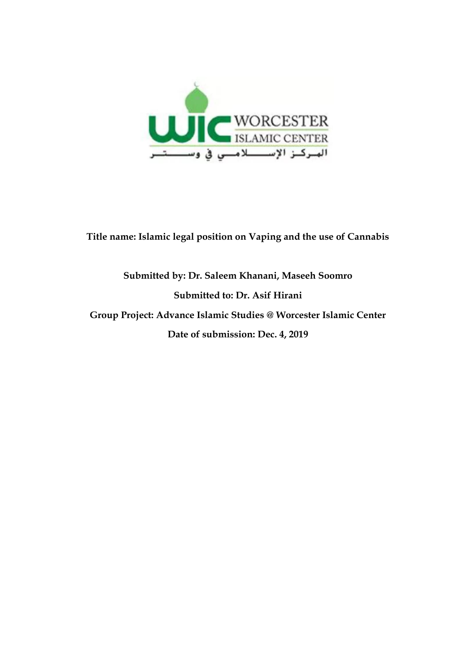

**Title name: Islamic legal position on Vaping and the use of Cannabis**

# **Submitted by: Dr. Saleem Khanani, Maseeh Soomro Submitted to: Dr. Asif Hirani Group Project: Advance Islamic Studies @ Worcester Islamic Center Date of submission: Dec. 4, 2019**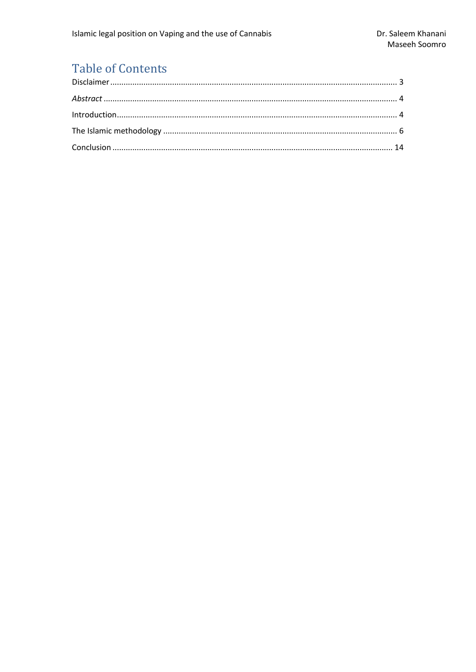# **Table of Contents**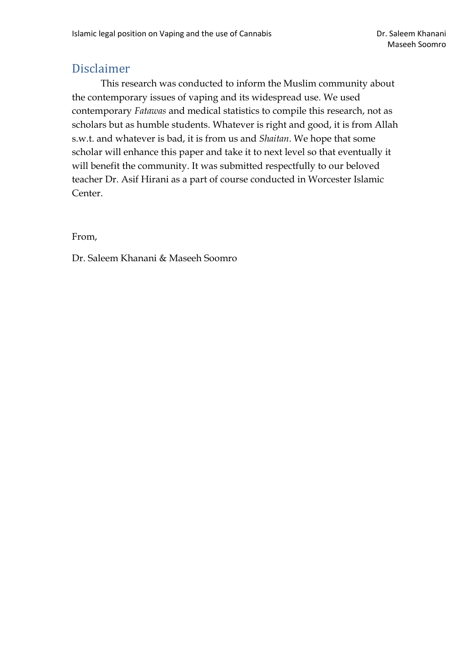### <span id="page-2-0"></span>Disclaimer

This research was conducted to inform the Muslim community about the contemporary issues of vaping and its widespread use. We used contemporary *Fatawas* and medical statistics to compile this research, not as scholars but as humble students. Whatever is right and good, it is from Allah s.w.t. and whatever is bad, it is from us and *Shaitan*. We hope that some scholar will enhance this paper and take it to next level so that eventually it will benefit the community. It was submitted respectfully to our beloved teacher Dr. Asif Hirani as a part of course conducted in Worcester Islamic Center.

From,

Dr. Saleem Khanani & Maseeh Soomro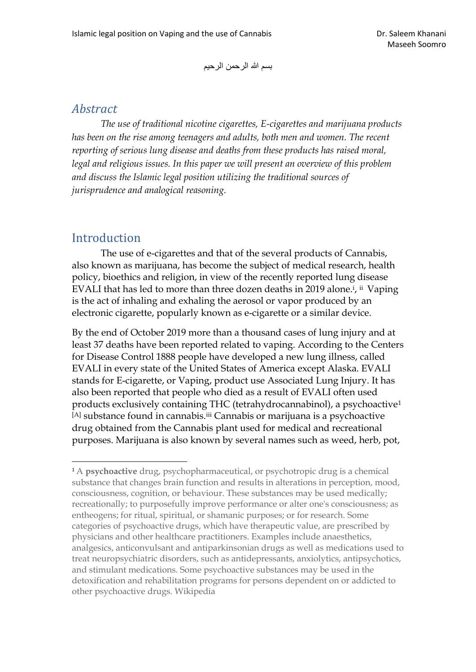بسم الله الرحمن الرحيم

#### <span id="page-3-0"></span>*Abstract*

*The use of traditional nicotine cigarettes, E-cigarettes and marijuana products has been on the rise among teenagers and adults, both men and women. The recent reporting of serious lung disease and deaths from these products has raised moral, legal and religious issues. In this paper we will present an overview of this problem and discuss the Islamic legal position utilizing the traditional sources of jurisprudence and analogical reasoning.*

#### <span id="page-3-1"></span>Introduction

The use of e-cigarettes and that of the several products of Cannabis, also known as marijuana, has become the subject of medical research, health policy, bioethics and religion, in view of the recently reported lung disease EVALI that has led to more than three dozen deaths in 2019 alone.<sup>i</sup>, ii Vaping is the act of inhaling and exhaling the aerosol or vapor produced by an electronic cigarette, popularly known as e-cigarette or a similar device.

By the end of October 2019 more than a thousand cases of lung injury and at least 37 deaths have been reported related to vaping. According to the Centers for Disease Control 1888 people have developed a new lung illness, called EVALI in every state of the United States of America except Alaska. EVALI stands for E-cigarette, or Vaping, product use Associated Lung Injury. It has also been reported that people who died as a result of EVALI often used products exclusively containing THC (tetrahydrocannabinol), a psychoactive<sup>1</sup> [A] substance found in cannabis.iii Cannabis or marijuana is a psychoactive drug obtained from the Cannabis plant used for medical and recreational purposes. Marijuana is also known by several names such as weed, herb, pot,

<sup>1</sup> A **psychoactive** drug, psychopharmaceutical, or psychotropic drug is a chemical substance that changes brain function and results in alterations in perception, mood, consciousness, cognition, or behaviour. These substances may be used medically; recreationally; to purposefully improve performance or alter one's consciousness; as entheogens; for ritual, spiritual, or shamanic purposes; or for research. Some categories of psychoactive drugs, which have therapeutic value, are prescribed by physicians and other healthcare practitioners. Examples include anaesthetics, analgesics, anticonvulsant and antiparkinsonian drugs as well as medications used to treat neuropsychiatric disorders, such as antidepressants, anxiolytics, antipsychotics, and stimulant medications. Some psychoactive substances may be used in the detoxification and rehabilitation programs for persons dependent on or addicted to other psychoactive drugs. Wikipedia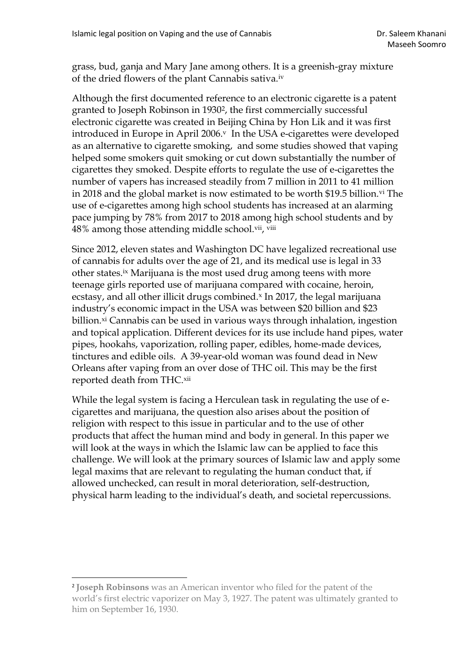grass, bud, ganja and Mary Jane among others. It is a greenish-gray mixture of the dried flowers of the plant Cannabis sativa.iv

Although the first documented reference to an electronic cigarette is a patent granted to Joseph Robinson in 19302, the first commercially successful electronic cigarette was created in Beijing China by Hon Lik and it was first introduced in Europe in April 2006.<sup>v</sup> In the USA e-cigarettes were developed as an alternative to cigarette smoking, and some studies showed that vaping helped some smokers quit smoking or cut down substantially the number of cigarettes they smoked. Despite efforts to regulate the use of e-cigarettes the number of vapers has increased steadily from 7 million in 2011 to 41 million in 2018 and the global market is now estimated to be worth \$19.5 billion.<sup>vi</sup> The use of e-cigarettes among high school students has increased at an alarming pace jumping by 78% from 2017 to 2018 among high school students and by 48% among those attending middle school.vii, viii

Since 2012, eleven states and Washington DC have legalized recreational use of cannabis for adults over the age of 21, and its medical use is legal in 33 other states.ix Marijuana is the most used drug among teens with more teenage girls reported use of marijuana compared with cocaine, heroin, ecstasy, and all other illicit drugs combined.<sup>x</sup> In 2017, the legal marijuana industry's economic impact in the USA was between \$20 billion and \$23 billion.<sup>xi</sup> Cannabis can be used in various ways through inhalation, ingestion and topical application. Different devices for its use include hand pipes, water pipes, hookahs, vaporization, rolling paper, edibles, home-made devices, tinctures and edible oils. A 39-year-old woman was found dead in New Orleans after vaping from an over dose of THC oil. This may be the first reported death from THC.xii

While the legal system is facing a Herculean task in regulating the use of ecigarettes and marijuana, the question also arises about the position of religion with respect to this issue in particular and to the use of other products that affect the human mind and body in general. In this paper we will look at the ways in which the Islamic law can be applied to face this challenge. We will look at the primary sources of Islamic law and apply some legal maxims that are relevant to regulating the human conduct that, if allowed unchecked, can result in moral deterioration, self-destruction, physical harm leading to the individual's death, and societal repercussions.

<sup>2</sup> **Joseph Robinsons** was an American inventor who filed for the patent of the world's first electric vaporizer on May 3, 1927. The patent was ultimately granted to him on September 16, 1930.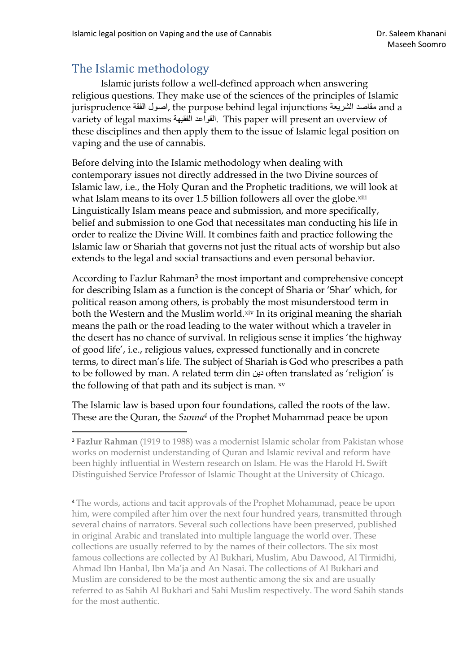## <span id="page-5-0"></span>The Islamic methodology

Islamic jurists follow a well-defined approach when answering religious questions. They make use of the sciences of the principles of Islamic jurisprudence مقاصد الشريعة he purpose behind legal injunctions مقاصد الشريعة variety of legal maxims الفقيهة القواعد. This paper will present an overview of these disciplines and then apply them to the issue of Islamic legal position on vaping and the use of cannabis.

Before delving into the Islamic methodology when dealing with contemporary issues not directly addressed in the two Divine sources of Islamic law, i.e., the Holy Quran and the Prophetic traditions, we will look at what Islam means to its over 1.5 billion followers all over the globe.<sup>xiii</sup> Linguistically Islam means peace and submission, and more specifically, belief and submission to one God that necessitates man conducting his life in order to realize the Divine Will. It combines faith and practice following the Islamic law or Shariah that governs not just the ritual acts of worship but also extends to the legal and social transactions and even personal behavior.

According to Fazlur Rahman<sup>3</sup> the most important and comprehensive concept for describing Islam as a function is the concept of Sharia or 'Shar' which, for political reason among others, is probably the most misunderstood term in both the Western and the Muslim world.xiv In its original meaning the shariah means the path or the road leading to the water without which a traveler in the desert has no chance of survival. In religious sense it implies 'the highway of good life', i.e., religious values, expressed functionally and in concrete terms, to direct man's life. The subject of Shariah is God who prescribes a path to be followed by man. A related term din دين often translated as 'religion' is the following of that path and its subject is man. xv

The Islamic law is based upon four foundations, called the roots of the law. These are the Quran, the *Sunna<sup>4</sup>* of the Prophet Mohammad peace be upon

<sup>4</sup> The words, actions and tacit approvals of the Prophet Mohammad, peace be upon him, were compiled after him over the next four hundred years, transmitted through several chains of narrators. Several such collections have been preserved, published in original Arabic and translated into multiple language the world over. These collections are usually referred to by the names of their collectors. The six most famous collections are collected by Al Bukhari, Muslim, Abu Dawood, Al Tirmidhi, Ahmad Ibn Hanbal, Ibn Ma'ja and An Nasai. The collections of Al Bukhari and Muslim are considered to be the most authentic among the six and are usually referred to as Sahih Al Bukhari and Sahi Muslim respectively. The word Sahih stands for the most authentic.

<sup>3</sup> **Fazlur Rahman** (1919 to 1988) was a modernist Islamic scholar from Pakistan whose works on modernist understanding of Quran and Islamic revival and reform have been highly influential in Western research on Islam. He was the Harold H**.** Swift Distinguished Service Professor of Islamic Thought at the University of Chicago.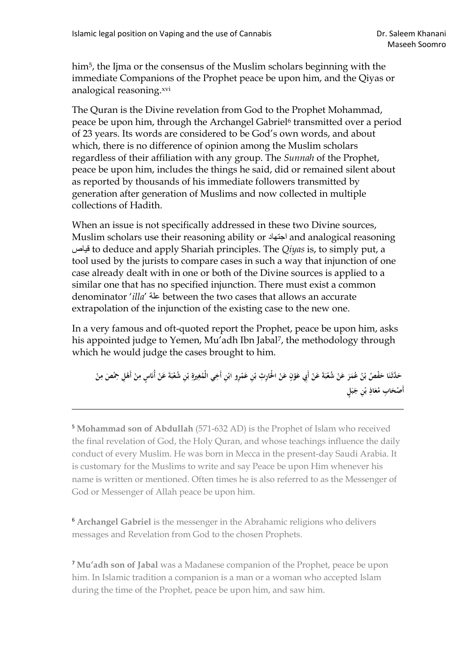him<sup>5</sup>, the Ijma or the consensus of the Muslim scholars beginning with the immediate Companions of the Prophet peace be upon him, and the Qiyas or analogical reasoning.xvi

The Quran is the Divine revelation from God to the Prophet Mohammad, peace be upon him, through the Archangel Gabriel<sup>6</sup> transmitted over a period of 23 years. Its words are considered to be God's own words, and about which, there is no difference of opinion among the Muslim scholars regardless of their affiliation with any group. The *Sunnah* of the Prophet, peace be upon him, includes the things he said, did or remained silent about as reported by thousands of his immediate followers transmitted by generation after generation of Muslims and now collected in multiple collections of Hadith.

When an issue is not specifically addressed in these two Divine sources, Muslim scholars use their reasoning ability or اجتهاد and analogical reasoning قياص to deduce and apply Shariah principles. The *Qiyas* is, to simply put, a tool used by the jurists to compare cases in such a way that injunction of one case already dealt with in one or both of the Divine sources is applied to a similar one that has no specified injunction. There must exist a common denominator '*illa*' علة between the two cases that allows an accurate extrapolation of the injunction of the existing case to the new one.

In a very famous and oft-quoted report the Prophet, peace be upon him, asks his appointed judge to Yemen, Mu'adh Ibn Jabal<sup>7</sup>, the methodology through which he would judge the cases brought to him.

**ْ** حَدَّثَنَا حَفْصُ بْنُ عُمَرَ عَنْ شُعْبَةَ عَنْ أَبِي عَوْنٍ عَنْ الْحَارِثِ بْنِ عَمْرِو ابْنِ أَخِي الْمُغِيرَةِ بْنِ شُعْبَةَ عَنْ أُناسٍ مِنْ أَهْلِ حِمْصَ مِنْ **ْ ب ي َ ْ ْ ْ َ ْ ْ َ ْ َ َ َ َ َ ي ْ ْ ي َ ْ َ** أَصْحَابِ مُعَاذِ بْنِ جَبَلٍ **َ َ ْ ب َ َ**

<sup>5</sup> **Mohammad son of Abdullah** (571-632 AD) is the Prophet of Islam who received the final revelation of God, the Holy Quran, and whose teachings influence the daily conduct of every Muslim. He was born in Mecca in the present-day Saudi Arabia. It is customary for the Muslims to write and say Peace be upon Him whenever his name is written or mentioned. Often times he is also referred to as the Messenger of God or Messenger of Allah peace be upon him.

<sup>6</sup> **Archangel Gabriel** is the messenger in the Abrahamic religions who delivers messages and Revelation from God to the chosen Prophets.

<sup>7</sup> **Mu'adh son of Jabal** was a Madanese companion of the Prophet, peace be upon him. In Islamic tradition a companion is a man or a woman who accepted Islam during the time of the Prophet, peace be upon him, and saw him.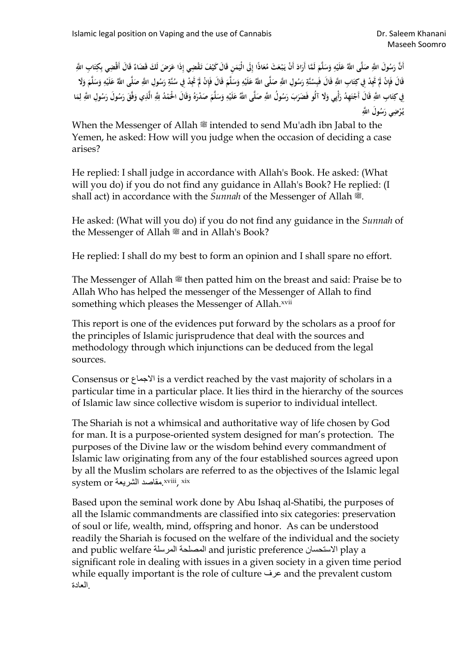أَنَّ رَسُولَ اللَّهِ صَلَّى اللَّهُ عَلَيْهِ وَسَلَّمَ لَمَّا أَرَادَ أَنْ يَبْعَثَ مُعَاذًا إِلَى الْيَمَنِ قَالَ كَيْفَ تَقْضِي إِذَا عَرَضَ لَكَ قَضَاءً قَالَ أَقْضِي بِكِتَابِ اللَّهِ **َ َ ي ْ َ َ َ ي َ ْ َ َ َ** قَالَ فَإِنْ لَمْ تَجِدْ فِي كِتَابِ اللَّهِ قَالَ فَبِسُنَّةِ رَسُولِ اللَّهِ صَلَّى اللَّهُ عَلَيْهِ وَسَلَّمَ قَالَ فَإِنْ لَمْ تَجِدْ فِي سُنَّةِ رَسُولِ اللَّهِ صَلَّى اللَّهُ عَلَيْهِ وَسَلَّمَ وَلَا **ي َ َ ي ْ َ ي َ ْ َ َ َ ي ْ َ ي ْ** فِي كِتَابِ اللَّهِ قَالَ أَجْتَهِدُ رَأْيِي وَلَا آلُو فَضَرَبَ رَسُولُ اللَّهِ صَلَّى اللَّهُ عَلَيْهِ وَسَلَّمَ صَدْرَهُ وَقَالَ الْحُمْدُ لِلَّهِ الَّذِي وَفَقَ رَسُولَ رَسُولِ اللَّهِ لِمَا **َ َ َ ْ َ ي َ َ َ ي ْ َ َ َ َ ي ل وَل ا ََّّللي ُ َس يضي ر ر ُ ي ْ**

When the Messenger of Allah  $\equiv$  intended to send Mu'adh ibn Jabal to the Yemen, he asked: How will you judge when the occasion of deciding a case arises?

He replied: I shall judge in accordance with Allah's Book. He asked: (What will you do) if you do not find any guidance in Allah's Book? He replied: (I shall act) in accordance with the *Sunnah* of the Messenger of Allah ...

He asked: (What will you do) if you do not find any guidance in the *Sunnah* of the Messenger of Allah  $\stackrel{\text{\tiny def}}{=}$  and in Allah's Book?

He replied: I shall do my best to form an opinion and I shall spare no effort.

The Messenger of Allah  $\mathcal{L}$  then patted him on the breast and said: Praise be to Allah Who has helped the messenger of the Messenger of Allah to find something which pleases the Messenger of Allah.xvii

This report is one of the evidences put forward by the scholars as a proof for the principles of Islamic jurisprudence that deal with the sources and methodology through which injunctions can be deduced from the legal sources.

Consensus or االجماع is a verdict reached by the vast majority of scholars in a particular time in a particular place. It lies third in the hierarchy of the sources of Islamic law since collective wisdom is superior to individual intellect.

The Shariah is not a whimsical and authoritative way of life chosen by God for man. It is a purpose-oriented system designed for man's protection. The purposes of the Divine law or the wisdom behind every commandment of Islamic law originating from any of the four established sources agreed upon by all the Muslim scholars are referred to as the objectives of the Islamic legal system or مقاصد الشريعة.xviii, xix

Based upon the seminal work done by Abu Ishaq al-Shatibi, the purposes of all the Islamic commandments are classified into six categories: preservation of soul or life, wealth, mind, offspring and honor. As can be understood readily the Shariah is focused on the welfare of the individual and the society and public welfare المرسلة المصلحة and juristic preference االستحسان play a significant role in dealing with issues in a given society in a given time period while equally important is the role of culture عرف and the prevalent custom .العادة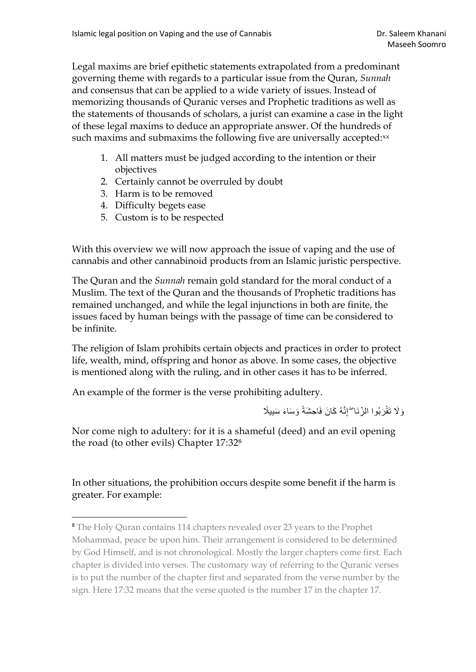Legal maxims are brief epithetic statements extrapolated from a predominant governing theme with regards to a particular issue from the Quran, *Sunnah* and consensus that can be applied to a wide variety of issues. Instead of memorizing thousands of Quranic verses and Prophetic traditions as well as the statements of thousands of scholars, a jurist can examine a case in the light of these legal maxims to deduce an appropriate answer. Of the hundreds of such maxims and submaxims the following five are universally accepted:xx

- 1. All matters must be judged according to the intention or their objectives
- 2. Certainly cannot be overruled by doubt
- 3. Harm is to be removed
- 4. Difficulty begets ease
- 5. Custom is to be respected

With this overview we will now approach the issue of vaping and the use of cannabis and other cannabinoid products from an Islamic juristic perspective.

The Quran and the *Sunnah* remain gold standard for the moral conduct of a Muslim. The text of the Quran and the thousands of Prophetic traditions has remained unchanged, and while the legal injunctions in both are finite, the issues faced by human beings with the passage of time can be considered to be infinite.

The religion of Islam prohibits certain objects and practices in order to protect life, wealth, mind, offspring and honor as above. In some cases, the objective is mentioned along with the ruling, and in other cases it has to be inferred.

An example of the former is the verse prohibiting adultery.

وَلَا تَقْرَبُوا الزِّنَا ۖ إِنَّهُ كَانَ فَاحِشَةً وَسَاءَ سَبِيلًا

Nor come nigh to adultery: for it is a shameful (deed) and an evil opening the road (to other evils) Chapter 17:32<sup>8</sup>

In other situations, the prohibition occurs despite some benefit if the harm is greater. For example:

<sup>8</sup> The Holy Quran contains 114 chapters revealed over 23 years to the Prophet Mohammad, peace be upon him. Their arrangement is considered to be determined by God Himself, and is not chronological. Mostly the larger chapters come first. Each chapter is divided into verses. The customary way of referring to the Quranic verses is to put the number of the chapter first and separated from the verse number by the sign. Here 17:32 means that the verse quoted is the number 17 in the chapter 17.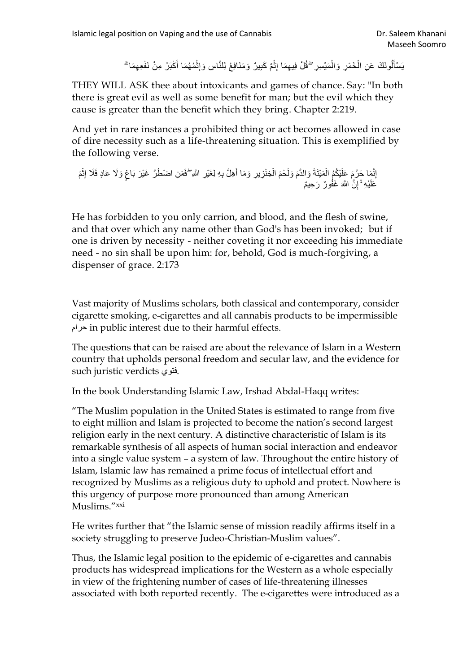يَسْأَلُونَكَ عَنِ الْخَمْرِ وَالْمَيْسِرِ ۖ قُلْ فِيهِمَا إِثْمٌ كَبِيرٌ وَمَنَافِعُ لِلنَّاسِ وَإِثْمُهُمَا أَكْبَرُ مِنْ نَفْعِهِمَا ۗ **السمال المنتشات** ْ ْ َ

THEY WILL ASK thee about intoxicants and games of chance. Say: "In both there is great evil as well as some benefit for man; but the evil which they cause is greater than the benefit which they bring. Chapter 2:219.

And yet in rare instances a prohibited thing or act becomes allowed in case of dire necessity such as a life-threatening situation. This is exemplified by the following verse.

أَمَّا حَرَّمَ عَلَيْكُمُ الْمَيْتَةَ وَالدَّمَ وَلَحْمَ الْخِنْزِيرِ وَمَا أَهِلَّ بِهِ لِغَيْرِ اللَّهِ ۖفَصَلِ اضْطُرَّ غَيْرَ بَاغٍ وَلَا عَادٍ فَلَا إِثْمَ<br>وَمَدَّجَ الْمَسْئَمَلُ الْمَيْتَةَ وَالدَّمَ وَلَحْمَ الْخِ ُ ْ َ ْ َ ֦֧֧֦֧֧֟֟֓֟֓֟֓֕֓֬֝֬֓֟֓֬֓֓֝֟֓֬֝֓֬֝֬֝֓֬֝֓֟֓֟֓֬֝֓֟֓֬ عَلَيْهِ ۚ إِنَّ اللَّهَ غَفُونٌ رَحِيمٌ ِ

He has forbidden to you only carrion, and blood, and the flesh of swine, and that over which any name other than God's has been invoked; but if one is driven by necessity - neither coveting it nor exceeding his immediate need - no sin shall be upon him: for, behold, God is much-forgiving, a dispenser of grace. 2:173

Vast majority of Muslims scholars, both classical and contemporary, consider cigarette smoking, e-cigarettes and all cannabis products to be impermissible حرام in public interest due to their harmful effects.

The questions that can be raised are about the relevance of Islam in a Western country that upholds personal freedom and secular law, and the evidence for such juristic verdicts فتوي.

In the book Understanding Islamic Law, Irshad Abdal-Haqq writes:

"The Muslim population in the United States is estimated to range from five to eight million and Islam is projected to become the nation's second largest religion early in the next century. A distinctive characteristic of Islam is its remarkable synthesis of all aspects of human social interaction and endeavor into a single value system – a system of law. Throughout the entire history of Islam, Islamic law has remained a prime focus of intellectual effort and recognized by Muslims as a religious duty to uphold and protect. Nowhere is this urgency of purpose more pronounced than among American Muslims."xxi

He writes further that "the Islamic sense of mission readily affirms itself in a society struggling to preserve Judeo-Christian-Muslim values".

Thus, the Islamic legal position to the epidemic of e-cigarettes and cannabis products has widespread implications for the Western as a whole especially in view of the frightening number of cases of life-threatening illnesses associated with both reported recently. The e-cigarettes were introduced as a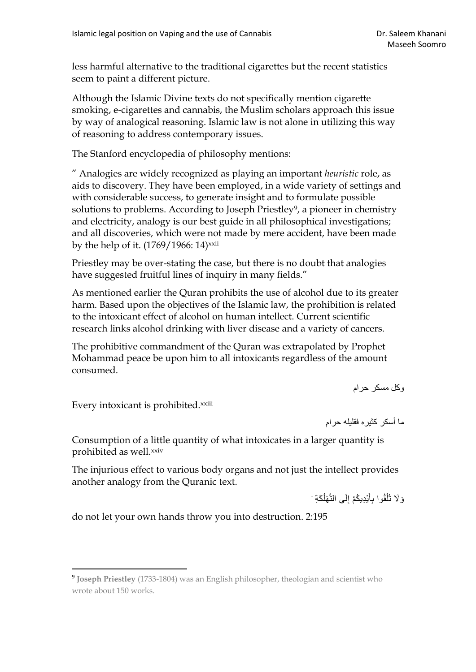less harmful alternative to the traditional cigarettes but the recent statistics seem to paint a different picture.

Although the Islamic Divine texts do not specifically mention cigarette smoking, e-cigarettes and cannabis, the Muslim scholars approach this issue by way of analogical reasoning. Islamic law is not alone in utilizing this way of reasoning to address contemporary issues.

The Stanford encyclopedia of philosophy mentions:

" Analogies are widely recognized as playing an important *heuristic* role, as aids to discovery. They have been employed, in a wide variety of settings and with considerable success, to generate insight and to formulate possible solutions to problems. According to Joseph Priestley<sup>9</sup>, a pioneer in chemistry and electricity, analogy is our best guide in all philosophical investigations; and all discoveries, which were not made by mere accident, have been made by the help of it.  $(1769/1966: 14)$ <sup>xxii</sup>

Priestley may be over-stating the case, but there is no doubt that analogies have suggested fruitful lines of inquiry in many fields."

As mentioned earlier the Quran prohibits the use of alcohol due to its greater harm. Based upon the objectives of the Islamic law, the prohibition is related to the intoxicant effect of alcohol on human intellect. Current scientific research links alcohol drinking with liver disease and a variety of cancers.

The prohibitive commandment of the Quran was extrapolated by Prophet Mohammad peace be upon him to all intoxicants regardless of the amount consumed.

وكل مسكر حرام

Every intoxicant is prohibited.xxiii

ما أسكر كثيره فقليله حرام

Consumption of a little quantity of what intoxicates in a larger quantity is prohibited as well.<sup>xxiv</sup>

The injurious effect to various body organs and not just the intellect provides another analogy from the Quranic text.

> وَ لَا تُلْقُوا بِأَيْدِيكُمْ إِلَى التَّهْلُكَةِ ْ ا<br>ا ِ َ ْ

do not let your own hands throw you into destruction. 2:195

<sup>&</sup>lt;sup>9</sup> Joseph Priestley (1733-1804) was an English philosopher, theologian and scientist who wrote about 150 works.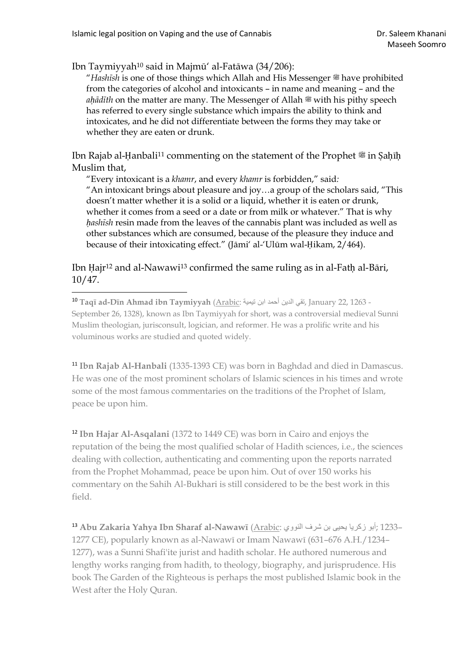Ibn Taymiyyah<sup>10</sup> said in Majmū' al-Fatāwa (34/206):

"*Hashīsh* is one of those things which Allah and His Messenger  $*$  have prohibited from the categories of alcohol and intoxicants – in name and meaning – and the *ah*<sup>*ad*</sup><sup>*i*th</sup> on the matter are many. The Messenger of Allah is with his pithy speech has referred to every single substance which impairs the ability to think and intoxicates, and he did not differentiate between the forms they may take or whether they are eaten or drunk.

Ibn Rajab al-Ḥanbali<sup>11</sup> commenting on the statement of the Prophet <sup>®</sup> in Ṣaḥīḥ Muslim that,

"Every intoxicant is a *khamr*, and every *khamr* is forbidden," said*:* "An intoxicant brings about pleasure and joy…a group of the scholars said, "This doesn't matter whether it is a solid or a liquid, whether it is eaten or drunk, whether it comes from a seed or a date or from milk or whatever." That is why *ḥashīsh* resin made from the leaves of the cannabis plant was included as well as other substances which are consumed, because of the pleasure they induce and because of their intoxicating effect." (Jāmi' al-'Ulūm wal-Ḥikam, 2/464).

#### Ibn Hajr<sup>12</sup> and al-Nawawi<sup>13</sup> confirmed the same ruling as in al-Fath al-Bāri, 10/47.

<sup>10</sup> **Taqī ad-Dīn Ahmad ibn Taymiyyah** [\(Arabic:](https://www.bing.com/search?q=Arabic%20language%20wikipedia) تيمية ابن أحمد الدين تقي, January 22, 1263 - September 26, 1328), known as Ibn Taymiyyah for short, was a controversial [medieval](https://www.bing.com/search?q=Islamic%20Golden%20Age%20wikipedia) [Sunni](https://www.bing.com/search?q=Sunni%20Muslim%20wikipedia)  [Muslim](https://www.bing.com/search?q=Sunni%20Muslim%20wikipedia) [theologian,](https://www.bing.com/search?q=Theologian%20wikipedia) [jurisconsult,](https://www.bing.com/search?q=Jurist%20wikipedia) [logician,](https://www.bing.com/search?q=Logic%20in%20Islamic%20philosophy%20wikipedia) and reformer. He was a prolific write and his voluminous works are studied and quoted widely.

<sup>11</sup> **Ibn Rajab Al-Hanbali** (1335-1393 CE) was born in Baghdad and died in Damascus. He was one of the most prominent scholars of Islamic sciences in his times and wrote some of the most famous commentaries on the traditions of the Prophet of Islam, peace be upon him.

<sup>12</sup> **Ibn Hajar Al-Asqalani** (1372 to 1449 CE) was born in Cairo and enjoys the reputation of the being the most qualified scholar of Hadith sciences, i.e., the sciences dealing with collection, authenticating and commenting upon the reports narrated from the Prophet Mohammad, peace be upon him. Out of over 150 works his commentary on the Sahih Al-Bukhari is still considered to be the best work in this field.

<sup>13</sup> **Abu Zakaria Yahya Ibn Sharaf al-Nawawī** [\(Arabic:](https://www.bing.com/search?q=Arabic%20language%20wikipedia) النووي شرف بن يحيى زكريا أبو ;1233– 1277 CE), popularly known as al-Nawawī or Imam Nawawī (631–676 A.H./1234– 1277), was a [Sunni](https://www.bing.com/search?q=Sunni%20wikipedia) Shafi'ite jurist and hadith scholar. He authored numerous and lengthy works ranging from hadith, to theology, biography, and jurisprudence. His book The Garden of the Righteous is perhaps the most published Islamic book in the West after the Holy Quran.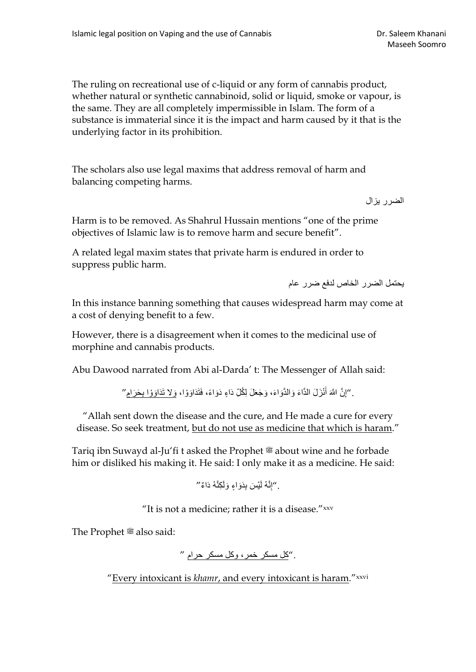The ruling on recreational use of c-liquid or any form of cannabis product, whether natural or synthetic cannabinoid, solid or liquid, smoke or vapour, is the same. They are all completely impermissible in Islam. The form of a substance is immaterial since it is the impact and harm caused by it that is the underlying factor in its prohibition.

The scholars also use legal maxims that address removal of harm and balancing competing harms.

الضرر يزال

Harm is to be removed. As Shahrul Hussain mentions "one of the prime objectives of Islamic law is to remove harm and secure benefit".

A related legal maxim states that private harm is endured in order to suppress public harm.

يحتمل الضرر الخاص لدفع ضرر عام

In this instance banning something that causes widespread harm may come at a cost of denying benefit to a few.

However, there is a disagreement when it comes to the medicinal use of morphine and cannabis products.

Abu Dawood narrated from Abi al-Darda' t: The Messenger of Allah said:

ِّ "إِنَّ اللَّهَ أُنْزَلَ الدَّاءَ وَالدَّوَاءَ، وَجَعَلَ لِكُلِّ دَاءٍ دَوَاءً، فَتَدَاوَوْا، و<u>َلا تَدَاوَوْا بِحَرَام</u> َ ِ

"Allah sent down the disease and the cure, and He made a cure for every disease. So seek treatment, but do not use as medicine that which is haram."

Tariq ibn Suwayd al-Ju'fi t asked the Prophet is about wine and he forbade him or disliked his making it. He said: I only make it as a medicine. He said:

. ''إِنَّهُ لَيْسَ بِدَوَاءٍ وَلَكِنَّهُ دَاءٌ ''

"It is not a medicine; rather it is a disease."xxv

The Prophet  $\mathcal{E}$  also said:

."كل مسكر خمر، وكل مسكر حرام "

"Every intoxicant is *khamr*, and every intoxicant is haram."xxvi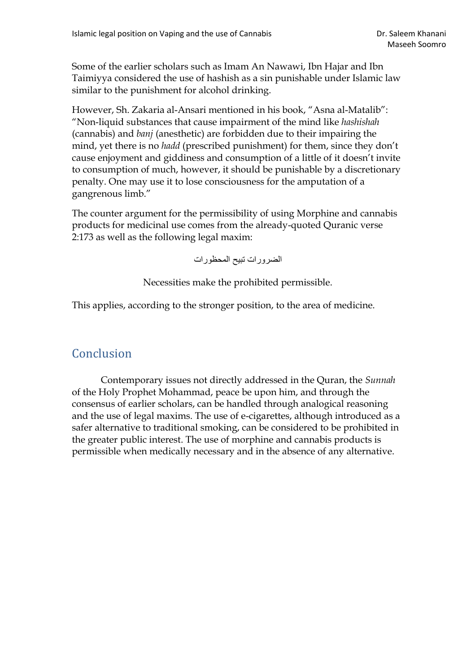Some of the earlier scholars such as Imam An Nawawi, Ibn Hajar and Ibn Taimiyya considered the use of hashish as a sin punishable under Islamic law similar to the punishment for alcohol drinking.

However, Sh. Zakaria al-Ansari mentioned in his book, "Asna al-Matalib": "Non-liquid substances that cause impairment of the mind like *hashishah* (cannabis) and *banj* (anesthetic) are forbidden due to their impairing the mind, yet there is no *hadd* (prescribed punishment) for them, since they don't cause enjoyment and giddiness and consumption of a little of it doesn't invite to consumption of much, however, it should be punishable by a discretionary penalty. One may use it to lose consciousness for the amputation of a gangrenous limb."

The counter argument for the permissibility of using Morphine and cannabis products for medicinal use comes from the already-quoted Quranic verse 2:173 as well as the following legal maxim:

الضرورات تبيح المحظورات

Necessities make the prohibited permissible.

This applies, according to the stronger position, to the area of medicine.

### <span id="page-13-0"></span>Conclusion

Contemporary issues not directly addressed in the Quran, the *Sunnah* of the Holy Prophet Mohammad, peace be upon him, and through the consensus of earlier scholars, can be handled through analogical reasoning and the use of legal maxims. The use of e-cigarettes, although introduced as a safer alternative to traditional smoking, can be considered to be prohibited in the greater public interest. The use of morphine and cannabis products is permissible when medically necessary and in the absence of any alternative.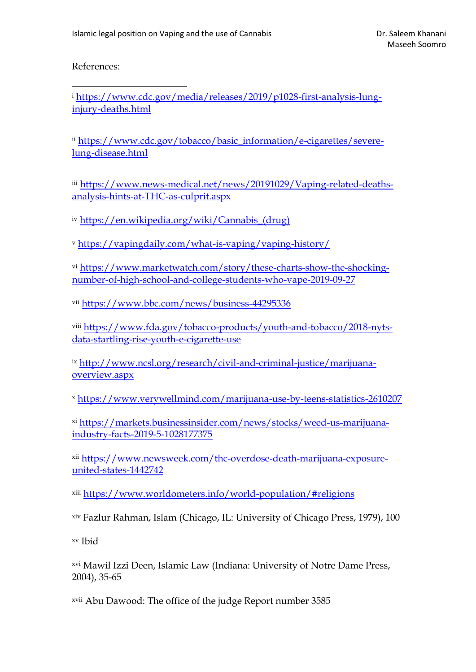References:

<sup>i</sup> [https://www.cdc.gov/media/releases/2019/p1028-first-analysis-lung](https://www.cdc.gov/media/releases/2019/p1028-first-analysis-lung-injury-deaths.html)[injury-deaths.html](https://www.cdc.gov/media/releases/2019/p1028-first-analysis-lung-injury-deaths.html)

ii [https://www.cdc.gov/tobacco/basic\\_information/e-cigarettes/severe](https://www.cdc.gov/tobacco/basic_information/e-cigarettes/severe-lung-disease.html)[lung-disease.html](https://www.cdc.gov/tobacco/basic_information/e-cigarettes/severe-lung-disease.html)

iii [https://www.news-medical.net/news/20191029/Vaping-related-deaths](https://www.news-medical.net/news/20191029/Vaping-related-deaths-analysis-hints-at-THC-as-culprit.aspx)[analysis-hints-at-THC-as-culprit.aspx](https://www.news-medical.net/news/20191029/Vaping-related-deaths-analysis-hints-at-THC-as-culprit.aspx)

iv [https://en.wikipedia.org/wiki/Cannabis\\_\(drug\)](https://en.wikipedia.org/wiki/Cannabis_(drug))

<sup>v</sup> <https://vapingdaily.com/what-is-vaping/vaping-history/>

vi [https://www.marketwatch.com/story/these-charts-show-the-shocking](https://www.marketwatch.com/story/these-charts-show-the-shocking-number-of-high-school-and-college-students-who-vape-2019-09-27)[number-of-high-school-and-college-students-who-vape-2019-09-27](https://www.marketwatch.com/story/these-charts-show-the-shocking-number-of-high-school-and-college-students-who-vape-2019-09-27)

vii <https://www.bbc.com/news/business-44295336>

viii [https://www.fda.gov/tobacco-products/youth-and-tobacco/2018-nyts](https://www.fda.gov/tobacco-products/youth-and-tobacco/2018-nyts-data-startling-rise-youth-e-cigarette-use)[data-startling-rise-youth-e-cigarette-use](https://www.fda.gov/tobacco-products/youth-and-tobacco/2018-nyts-data-startling-rise-youth-e-cigarette-use)

ix [http://www.ncsl.org/research/civil-and-criminal-justice/marijuana](http://www.ncsl.org/research/civil-and-criminal-justice/marijuana-overview.aspx)[overview.aspx](http://www.ncsl.org/research/civil-and-criminal-justice/marijuana-overview.aspx)

<sup>x</sup> <https://www.verywellmind.com/marijuana-use-by-teens-statistics-2610207>

xi [https://markets.businessinsider.com/news/stocks/weed-us-marijuana](https://markets.businessinsider.com/news/stocks/weed-us-marijuana-industry-facts-2019-5-1028177375)[industry-facts-2019-5-1028177375](https://markets.businessinsider.com/news/stocks/weed-us-marijuana-industry-facts-2019-5-1028177375)

xii [https://www.newsweek.com/thc-overdose-death-marijuana-exposure](https://www.newsweek.com/thc-overdose-death-marijuana-exposure-united-states-1442742)[united-states-1442742](https://www.newsweek.com/thc-overdose-death-marijuana-exposure-united-states-1442742)

xiii <https://www.worldometers.info/world-population/#religions>

xiv Fazlur Rahman, Islam (Chicago, IL: University of Chicago Press, 1979), 100

xv Ibid

xvi Mawil Izzi Deen, Islamic Law (Indiana: University of Notre Dame Press, 2004), 35-65

xvii Abu Dawood: The office of the judge Report number 3585